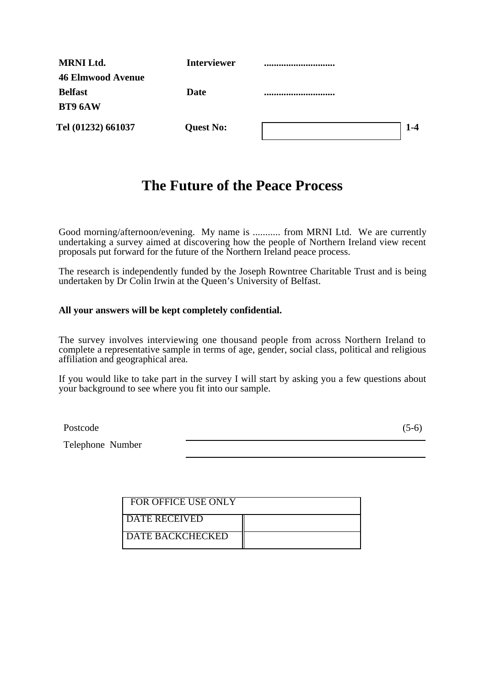| <b>MRNI Ltd.</b>         | <b>Interviewer</b> |              |
|--------------------------|--------------------|--------------|
| <b>46 Elmwood Avenue</b> |                    |              |
| <b>Belfast</b>           | <b>Date</b>        |              |
| BT9 6AW                  |                    |              |
| Tel (01232) 661037       | <b>Quest No:</b>   | $\mathsf{L}$ |

# **The Future of the Peace Process**

Good morning/afternoon/evening. My name is ........... from MRNI Ltd. We are currently undertaking a survey aimed at discovering how the people of Northern Ireland view recent proposals put forward for the future of the Northern Ireland peace process.

The research is independently funded by the Joseph Rowntree Charitable Trust and is being undertaken by Dr Colin Irwin at the Queen's University of Belfast.

### **All your answers will be kept completely confidential.**

The survey involves interviewing one thousand people from across Northern Ireland to complete a representative sample in terms of age, gender, social class, political and religious affiliation and geographical area.

If you would like to take part in the survey I will start by asking you a few questions about your background to see where you fit into our sample.

Postcode (5-6)

Telephone Number

| <b>FOR OFFICE USE ONLY</b> |  |
|----------------------------|--|
| DATE RECEIVED              |  |
| DATE BACKCHECKED           |  |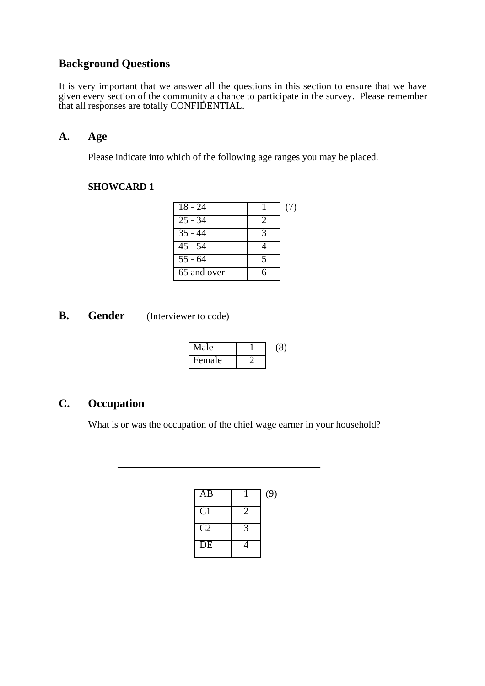## **Background Questions**

It is very important that we answer all the questions in this section to ensure that we have given every section of the community a chance to participate in the survey. Please remember that all responses are totally CONFIDENTIAL.

## **A. Age**

Please indicate into which of the following age ranges you may be placed.

### **SHOWCARD 1**

| $\overline{18} - 24$ |                            | (7) |
|----------------------|----------------------------|-----|
| $\overline{25 - 34}$ | $\mathcal{D}$              |     |
| $\overline{35} - 44$ | $\boldsymbol{\mathcal{Z}}$ |     |
| $\overline{45}$ - 54 |                            |     |
| $55 - 64$            |                            |     |
| 65 and over          |                            |     |

**B.** Gender (Interviewer to code)

 $\overline{a}$ 

| Male   | 20° |
|--------|-----|
| Female |     |

## **C. Occupation**

What is or was the occupation of the chief wage earner in your household?

| $\overline{AB}$ | (9) |
|-----------------|-----|
| C1              |     |
| C <sub>2</sub>  |     |
| DE              |     |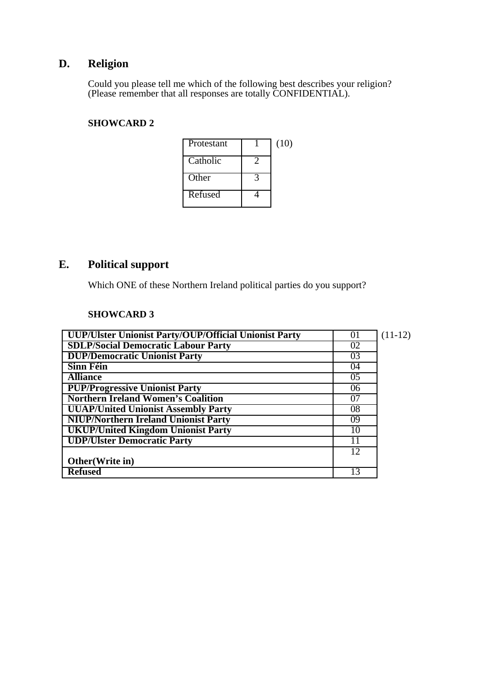# **D. Religion**

Could you please tell me which of the following best describes your religion? (Please remember that all responses are totally CONFIDENTIAL).

## **SHOWCARD 2**

| Protestant | (10) |
|------------|------|
| Catholic   |      |
| Other      |      |
| Refused    |      |

# **E. Political support**

Which ONE of these Northern Ireland political parties do you support?

| UUP/Ulster Unionist Party/OUP/Official Unionist Party | 01 | $(11-12)$ |
|-------------------------------------------------------|----|-----------|
| <b>SDLP/Social Democratic Labour Party</b>            | 02 |           |
| <b>DUP/Democratic Unionist Party</b>                  | 03 |           |
| <b>Sinn Féin</b>                                      | 04 |           |
| <b>Alliance</b>                                       | 05 |           |
| <b>PUP/Progressive Unionist Party</b>                 | 06 |           |
| <b>Northern Ireland Women's Coalition</b>             | 07 |           |
| <b>UUAP/United Unionist Assembly Party</b>            | 08 |           |
| <b>NIUP/Northern Ireland Unionist Party</b>           | 09 |           |
| <b>UKUP/United Kingdom Unionist Party</b>             | 10 |           |
| <b>UDP/Ulster Democratic Party</b>                    |    |           |
|                                                       | 12 |           |
| Other (Write in)                                      |    |           |
| <b>Refused</b>                                        | 13 |           |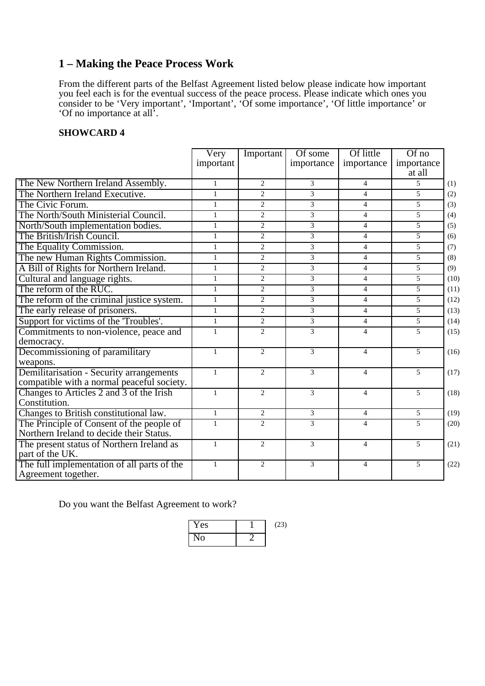## **1 – Making the Peace Process Work**

From the different parts of the Belfast Agreement listed below please indicate how important you feel each is for the eventual success of the peace process. Please indicate which ones you consider to be 'Very important', 'Important', 'Of some importance', 'Of little importance' or 'Of no importance at all'.

### **SHOWCARD 4**

|                                                                                        | Very<br>important | Important      | Of some<br>importance | Of little<br>importance | $Of$ no<br>importance<br>at all |      |
|----------------------------------------------------------------------------------------|-------------------|----------------|-----------------------|-------------------------|---------------------------------|------|
| The New Northern Ireland Assembly.                                                     | $\mathbf{1}$      | 2              | $\mathfrak{Z}$        | $\overline{4}$          | $\mathfrak{F}$                  | (1)  |
| The Northern Ireland Executive.                                                        | $\mathbf{1}$      | $\overline{2}$ | $\overline{3}$        | $\overline{4}$          | 5                               | (2)  |
| The Civic Forum.                                                                       | $\mathbf{1}$      | $\overline{2}$ | $\overline{3}$        | $\overline{4}$          | 5                               | (3)  |
| The North/South Ministerial Council.                                                   | $\mathbf{1}$      | $\overline{2}$ | $\overline{3}$        | $\overline{4}$          | $\overline{5}$                  | (4)  |
| North/South implementation bodies.                                                     | $\mathbf{1}$      | $\overline{2}$ | $\overline{3}$        | $\overline{4}$          | 5                               | (5)  |
| The British/Irish Council.                                                             | $\mathbf{1}$      | $\overline{2}$ | $\overline{3}$        | $\overline{4}$          | 5                               | (6)  |
| The Equality Commission.                                                               | $\mathbf{1}$      | $\overline{2}$ | $\overline{3}$        | $\overline{4}$          | 5                               | (7)  |
| The new Human Rights Commission.                                                       | $\mathbf{1}$      | $\overline{2}$ | $\overline{3}$        | $\overline{4}$          | 5                               | (8)  |
| A Bill of Rights for Northern Ireland.                                                 | $\mathbf{1}$      | $\overline{2}$ | 3                     | $\overline{4}$          | 5                               | (9)  |
| Cultural and language rights.                                                          | $\mathbf{1}$      | $\overline{2}$ | $\overline{3}$        | $\overline{4}$          | 5                               | (10) |
| The reform of the RUC.                                                                 | $\mathbf{1}$      | $\overline{2}$ | $\overline{3}$        | $\overline{4}$          | 5                               | (11) |
| The reform of the criminal justice system.                                             | $\mathbf{1}$      | $\overline{2}$ | $\overline{3}$        | $\overline{4}$          | 5                               | (12) |
| The early release of prisoners.                                                        | $\mathbf{1}$      | $\overline{2}$ | $\overline{3}$        | $\overline{4}$          | 5                               | (13) |
| Support for victims of the 'Troubles'.                                                 | $\mathbf{1}$      | $\overline{2}$ | $\overline{3}$        | $\overline{4}$          | 5                               | (14) |
| Commitments to non-violence, peace and                                                 | $\mathbf{1}$      | 2              | 3                     | $\overline{4}$          | 5                               | (15) |
| democracy.                                                                             |                   |                |                       |                         |                                 |      |
| Decommissioning of paramilitary                                                        | $\mathbf{1}$      | $\overline{2}$ | $\overline{3}$        | $\overline{4}$          | 5                               | (16) |
| weapons.                                                                               |                   |                |                       |                         |                                 |      |
| Demilitarisation - Security arrangements<br>compatible with a normal peaceful society. | $\mathbf{1}$      | 2              | 3                     | $\overline{4}$          | 5                               | (17) |
| Changes to Articles 2 and 3 of the Irish<br>Constitution.                              | $\mathbf{1}$      | 2              | 3                     | $\overline{4}$          | 5                               | (18) |
| Changes to British constitutional law.                                                 | $\mathbf{1}$      | $\overline{2}$ | 3                     | $\overline{4}$          | 5                               | (19) |
| The Principle of Consent of the people of                                              | $\mathbf{1}$      | 2              | 3                     | $\overline{4}$          | 5                               | (20) |
| Northern Ireland to decide their Status.                                               |                   |                |                       |                         |                                 |      |
| The present status of Northern Ireland as<br>part of the UK.                           | $\mathbf{1}$      | 2              | 3                     | 4                       | 5                               | (21) |
| The full implementation of all parts of the<br>Agreement together.                     | $\mathbf{1}$      | 2              | 3                     | 4                       | 5                               | (22) |

Do you want the Belfast Agreement to work?

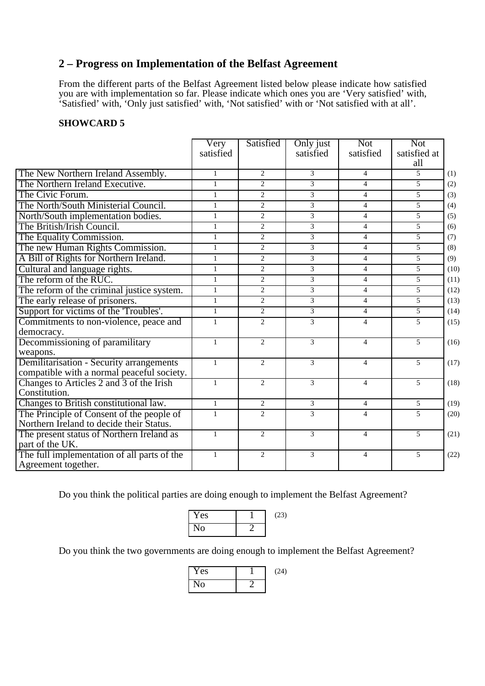## **2 – Progress on Implementation of the Belfast Agreement**

From the different parts of the Belfast Agreement listed below please indicate how satisfied you are with implementation so far. Please indicate which ones you are 'Very satisfied' with, 'Satisfied' with, 'Only just satisfied' with, 'Not satisfied' with or 'Not satisfied with at all'.

### **SHOWCARD 5**

|                                                                                        | Very<br>satisfied | Satisfied                   | Only just<br>satisfied | <b>Not</b><br>satisfied | <b>Not</b><br>satisfied at<br>all |      |
|----------------------------------------------------------------------------------------|-------------------|-----------------------------|------------------------|-------------------------|-----------------------------------|------|
| The New Northern Ireland Assembly.                                                     | 1                 | 2                           | 3                      | $\overline{4}$          | 5                                 | (1)  |
| The Northern Ireland Executive.                                                        | $\mathbf{1}$      | $\mathfrak{D}$              | $\overline{3}$         | $\overline{4}$          | 5                                 | (2)  |
| The Civic Forum.                                                                       | $\mathbf{1}$      | $\overline{2}$              | $\overline{3}$         | $\overline{4}$          | 5                                 | (3)  |
| The North/South Ministerial Council.                                                   | $\mathbf{1}$      | $\overline{2}$              | $\overline{3}$         | $\overline{4}$          | $\overline{5}$                    | (4)  |
| North/South implementation bodies.                                                     | $\mathbf{1}$      | $\overline{2}$              | $\overline{3}$         | $\overline{4}$          | $\overline{5}$                    | (5)  |
| The British/Irish Council.                                                             | $\mathbf{1}$      | $\overline{2}$              | $\overline{3}$         | $\overline{4}$          | 5                                 | (6)  |
| The Equality Commission.                                                               | $\mathbf{1}$      | $\overline{2}$              | $\overline{3}$         | $\overline{4}$          | 5                                 | (7)  |
| The new Human Rights Commission.                                                       | $\mathbf{1}$      | $\overline{2}$              | $\overline{3}$         | $\overline{4}$          | 5                                 | (8)  |
| A Bill of Rights for Northern Ireland.                                                 | $\mathbf{1}$      | 2                           | $\overline{3}$         | $\overline{4}$          | 5                                 | (9)  |
| Cultural and language rights.                                                          | $\mathbf{1}$      | $\overline{2}$              | $\overline{3}$         | $\overline{4}$          | $\overline{5}$                    | (10) |
| The reform of the RUC.                                                                 | $\mathbf{1}$      | $\overline{2}$              | $\overline{3}$         | $\overline{4}$          | 5                                 | (11) |
| The reform of the criminal justice system.                                             | $\mathbf{1}$      | 2                           | $\overline{3}$         | $\overline{4}$          | 5                                 | (12) |
| The early release of prisoners.                                                        | $\mathbf{1}$      | $\mathcal{D}_{\mathcal{L}}$ | $\overline{3}$         | $\overline{4}$          | 5                                 | (13) |
| Support for victims of the 'Troubles'.                                                 | $\mathbf{1}$      | $\overline{2}$              | $\overline{3}$         | $\overline{4}$          | $\overline{5}$                    | (14) |
| Commitments to non-violence, peace and<br>democracy.                                   | $\mathbf{1}$      | 2                           | $\overline{3}$         | $\overline{4}$          | $\mathfrak{F}$                    | (15) |
| Decommissioning of paramilitary<br>weapons.                                            | $\mathbf{1}$      | $\overline{2}$              | $\overline{3}$         | $\overline{4}$          | $\mathfrak{F}$                    | (16) |
| Demilitarisation - Security arrangements<br>compatible with a normal peaceful society. | $\mathbf{1}$      | $\overline{2}$              | 3                      | $\overline{4}$          | 5                                 | (17) |
| Changes to Articles 2 and 3 of the Irish<br>Constitution.                              | $\mathbf{1}$      | 2                           | 3                      | $\overline{4}$          | 5                                 | (18) |
| Changes to British constitutional law.                                                 | $\mathbf{1}$      | $\overline{2}$              | $\overline{3}$         | $\overline{4}$          | 5                                 | (19) |
| The Principle of Consent of the people of<br>Northern Ireland to decide their Status.  | $\mathbf{1}$      | $\overline{2}$              | $\overline{3}$         | $\overline{4}$          | 5                                 | (20) |
| The present status of Northern Ireland as<br>part of the UK.                           | $\mathbf{1}$      | 2                           | 3                      | $\overline{4}$          | 5                                 | (21) |
| The full implementation of all parts of the<br>Agreement together.                     | $\mathbf{1}$      | 2                           | 3                      | $\overline{4}$          | 5                                 | (22) |

Do you think the political parties are doing enough to implement the Belfast Agreement?



Do you think the two governments are doing enough to implement the Belfast Agreement?

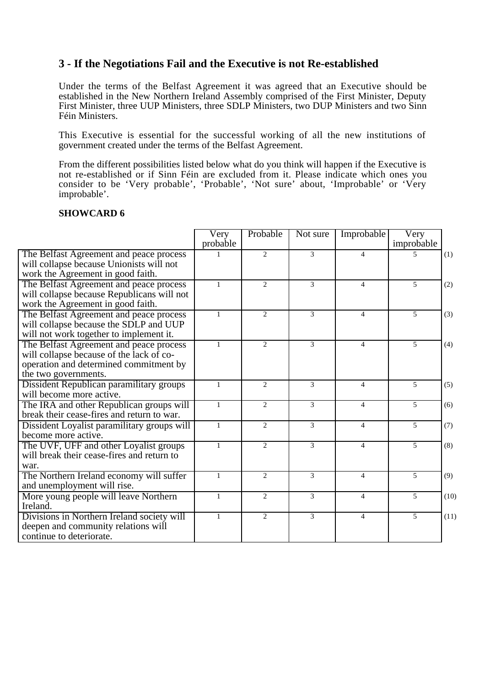## **3 - If the Negotiations Fail and the Executive is not Re-established**

Under the terms of the Belfast Agreement it was agreed that an Executive should be established in the New Northern Ireland Assembly comprised of the First Minister, Deputy First Minister, three UUP Ministers, three SDLP Ministers, two DUP Ministers and two Sinn Féin Ministers.

This Executive is essential for the successful working of all the new institutions of government created under the terms of the Belfast Agreement.

From the different possibilities listed below what do you think will happen if the Executive is not re-established or if Sinn Féin are excluded from it. Please indicate which ones you consider to be 'Very probable', 'Probable', 'Not sure' about, 'Improbable' or 'Very improbable'.

|                                                                                                                                                       | Very<br>probable | Probable       | Not sure      | Improbable               | Very<br>improbable |      |
|-------------------------------------------------------------------------------------------------------------------------------------------------------|------------------|----------------|---------------|--------------------------|--------------------|------|
| The Belfast Agreement and peace process<br>will collapse because Unionists will not<br>work the Agreement in good faith.                              |                  | 2              | 3             | 4                        | 5                  | (1)  |
| The Belfast Agreement and peace process<br>will collapse because Republicans will not<br>work the Agreement in good faith.                            | $\mathbf{1}$     | $\overline{2}$ | 3             | $\overline{4}$           | $\overline{5}$     | (2)  |
| The Belfast Agreement and peace process<br>will collapse because the SDLP and UUP<br>will not work together to implement it.                          | $\mathbf{1}$     | $\overline{2}$ | 3             | $\overline{\mathcal{L}}$ | 5                  | (3)  |
| The Belfast Agreement and peace process<br>will collapse because of the lack of co-<br>operation and determined commitment by<br>the two governments. | $\mathbf{1}$     | $\overline{2}$ | 3             | $\overline{4}$           | $\overline{5}$     | (4)  |
| Dissident Republican paramilitary groups<br>will become more active.                                                                                  | $\mathbf{1}$     | $\overline{2}$ | 3             | $\overline{4}$           | 5                  | (5)  |
| The IRA and other Republican groups will<br>break their cease-fires and return to war.                                                                | $\mathbf{1}$     | $\overline{2}$ | 3             | $\overline{4}$           | $\overline{5}$     | (6)  |
| Dissident Loyalist paramilitary groups will<br>become more active.                                                                                    | $\mathbf{1}$     | $\overline{2}$ | 3             | $\overline{4}$           | 5                  | (7)  |
| The UVF, UFF and other Loyalist groups<br>will break their cease-fires and return to<br>war.                                                          | $\mathbf{1}$     | $\overline{2}$ | 3             | 4                        | $\overline{5}$     | (8)  |
| The Northern Ireland economy will suffer<br>and unemployment will rise.                                                                               | $\mathbf{1}$     | $\overline{2}$ | $\mathcal{E}$ | $\overline{4}$           | $\overline{5}$     | (9)  |
| More young people will leave Northern<br>Ireland.                                                                                                     | $\mathbf{1}$     | $\overline{2}$ | 3             | $\overline{4}$           | $\overline{5}$     | (10) |
| Divisions in Northern Ireland society will<br>deepen and community relations will<br>continue to deteriorate.                                         | $\mathbf{1}$     | 2              | 3             | $\overline{4}$           | $\overline{5}$     | (11) |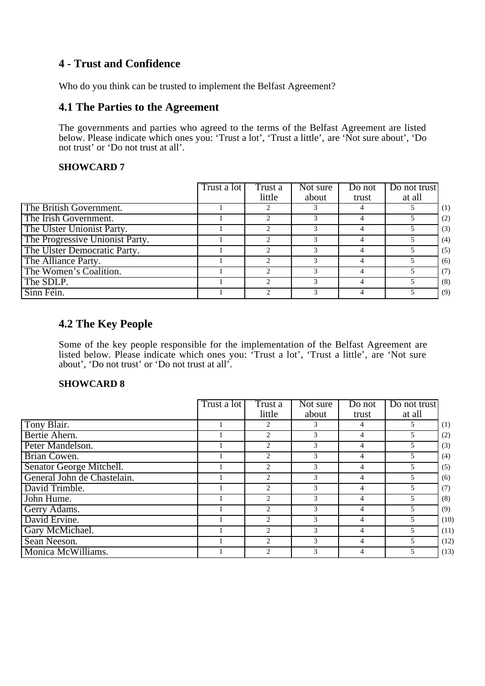## **4 - Trust and Confidence**

Who do you think can be trusted to implement the Belfast Agreement?

## **4.1 The Parties to the Agreement**

The governments and parties who agreed to the terms of the Belfast Agreement are listed below. Please indicate which ones you: 'Trust a lot', 'Trust a little', are 'Not sure about', 'Do not trust' or 'Do not trust at all'.

#### **SHOWCARD 7**

|                                 | Trust a lot | Trust a | $\overline{\text{Not}}$ sure | Do not | Do not trust |     |
|---------------------------------|-------------|---------|------------------------------|--------|--------------|-----|
|                                 |             | little  | about                        | trust  | at all       |     |
| The British Government.         |             |         |                              |        |              | (1) |
| The Irish Government.           |             |         |                              |        |              | (2) |
| The Ulster Unionist Party.      |             |         |                              |        |              | (3) |
| The Progressive Unionist Party. |             |         |                              |        |              | (4) |
| The Ulster Democratic Party.    |             | 2       | 3                            |        |              | (5) |
| The Alliance Party.             |             |         |                              |        | 5            | (6) |
| The Women's Coalition.          |             |         |                              |        |              | (7) |
| The SDLP.                       |             | ↑       | 3                            |        |              | (8) |
| Sinn Féin.                      |             |         |                              |        |              | (9) |

## **4.2 The Key People**

Some of the key people responsible for the implementation of the Belfast Agreement are listed below. Please indicate which ones you: 'Trust a lot', 'Trust a little', are 'Not sure about', 'Do not trust' or 'Do not trust at all'.

|                             | Trust a lot | Trust a | Not sure | Do not         | Do not trust |      |
|-----------------------------|-------------|---------|----------|----------------|--------------|------|
|                             |             | little  | about    | trust          | at all       |      |
| Tony Blair.                 |             | 2       | 3        | 4              | 5            | (1)  |
| Bertie Ahern.               |             | 2       | 3        | 4              | 5            | (2)  |
| Peter Mandelson.            |             | 2       | 3        | 4              | 5            | (3)  |
| Brian Cowen.                |             | 2       | 3        | 4              | 5            | (4)  |
| Senator George Mitchell.    |             | 2       | 3        | 4              | 5            | (5)  |
| General John de Chastelain. |             | 2       | 3        | 4              | 5            | (6)  |
| David Trimble.              |             | 2       | 3        | 4              | 5            | (7)  |
| John Hume.                  |             | 2       | 3        | 4              | 5            | (8)  |
| Gerry Adams.                |             | 2       | 3        | 4              | 5            | (9)  |
| David Ervine.               |             | 2       | 3        | 4              | 5            | (10) |
| Gary McMichael.             |             | 2       | 3        | 4              | 5            | (11) |
| Sean Neeson.                |             | 2       | 3        | $\overline{4}$ | 5            | (12) |
| Monica McWilliams.          |             | 2       | 3        | 4              | 5            | (13) |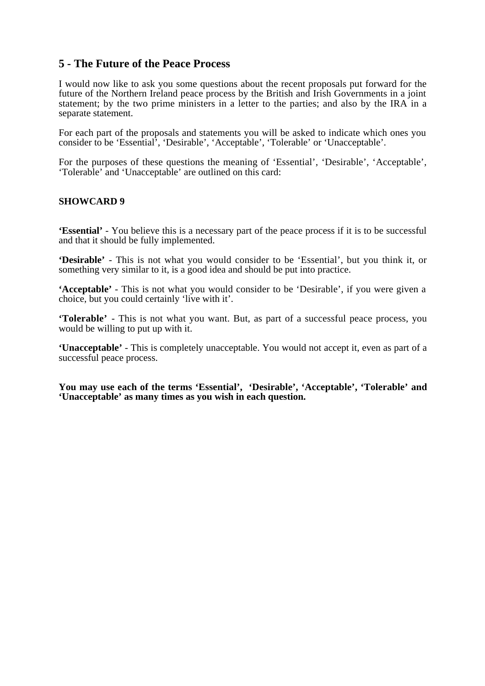## **5 - The Future of the Peace Process**

I would now like to ask you some questions about the recent proposals put forward for the future of the Northern Ireland peace process by the British and Irish Governments in a joint statement; by the two prime ministers in a letter to the parties; and also by the IRA in a separate statement.

For each part of the proposals and statements you will be asked to indicate which ones you consider to be 'Essential', 'Desirable', 'Acceptable', 'Tolerable' or 'Unacceptable'.

For the purposes of these questions the meaning of 'Essential', 'Desirable', 'Acceptable', 'Tolerable' and 'Unacceptable' are outlined on this card:

#### **SHOWCARD 9**

**'Essential'** - You believe this is a necessary part of the peace process if it is to be successful and that it should be fully implemented.

**'Desirable'** - This is not what you would consider to be 'Essential', but you think it, or something very similar to it, is a good idea and should be put into practice.

**'Acceptable'** - This is not what you would consider to be 'Desirable', if you were given a choice, but you could certainly 'live with it'.

**'Tolerable'** - This is not what you want. But, as part of a successful peace process, you would be willing to put up with it.

**'Unacceptable'** - This is completely unacceptable. You would not accept it, even as part of a successful peace process.

**You may use each of the terms 'Essential', 'Desirable', 'Acceptable', 'Tolerable' and 'Unacceptable' as many times as you wish in each question.**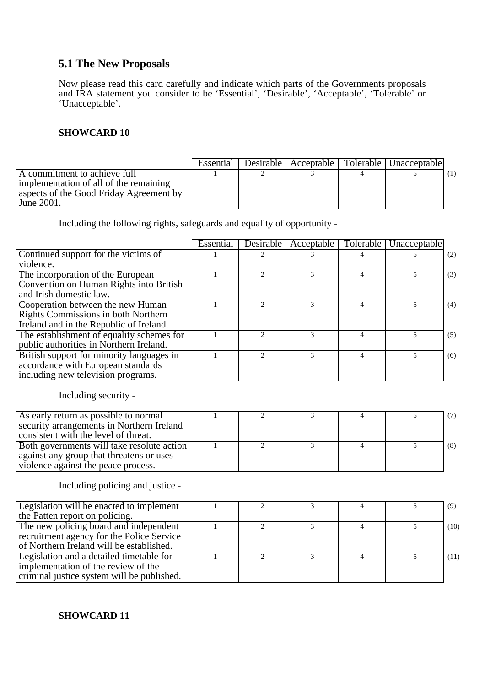## **5.1 The New Proposals**

Now please read this card carefully and indicate which parts of the Governments proposals and IRA statement you consider to be 'Essential', 'Desirable', 'Acceptable', 'Tolerable' or 'Unacceptable'.

### **SHOWCARD 10**

|                                         | Essential | Desirable   Acceptable | Tolerable   Unacceptable |  |
|-----------------------------------------|-----------|------------------------|--------------------------|--|
| A commitment to achieve full            |           |                        |                          |  |
| implementation of all of the remaining  |           |                        |                          |  |
| aspects of the Good Friday Agreement by |           |                        |                          |  |
| June $2001$ .                           |           |                        |                          |  |

Including the following rights, safeguards and equality of opportunity -

|                                           | Essential | Desirable | Acceptable | Tolerable | Unacceptable |     |
|-------------------------------------------|-----------|-----------|------------|-----------|--------------|-----|
| Continued support for the victims of      |           |           |            |           |              | (2) |
| violence.                                 |           |           |            |           |              |     |
| The incorporation of the European         |           |           |            |           |              | (3) |
| Convention on Human Rights into British   |           |           |            |           |              |     |
| and Irish domestic law.                   |           |           |            |           |              |     |
| Cooperation between the new Human         |           |           | 3          |           |              | (4) |
| Rights Commissions in both Northern       |           |           |            |           |              |     |
| Ireland and in the Republic of Ireland.   |           |           |            |           |              |     |
| The establishment of equality schemes for |           |           |            |           | 5            | (5) |
| public authorities in Northern Ireland.   |           |           |            |           |              |     |
| British support for minority languages in |           |           | 3          |           |              | (6) |
| accordance with European standards        |           |           |            |           |              |     |
| including new television programs.        |           |           |            |           |              |     |

Including security -

| As early return as possible to normal<br>security arrangements in Northern Ireland<br>consistent with the level of threat.    |  |  | (7) |
|-------------------------------------------------------------------------------------------------------------------------------|--|--|-----|
| Both governments will take resolute action<br>against any group that threatens or uses<br>violence against the peace process. |  |  | (8) |

## Including policing and justice -

| <b>Legislation will be enacted to implement</b> |  |  | (9)  |
|-------------------------------------------------|--|--|------|
| the Patten report on policing.                  |  |  |      |
| The new policing board and independent          |  |  | (10) |
| recruitment agency for the Police Service       |  |  |      |
| of Northern Ireland will be established.        |  |  |      |
| Legislation and a detailed timetable for        |  |  | (11) |
| implementation of the review of the             |  |  |      |
| criminal justice system will be published.      |  |  |      |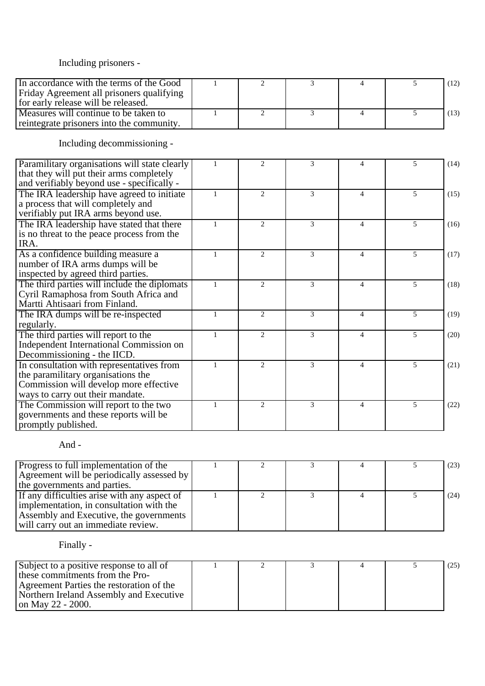## Including prisoners -

| In accordance with the terms of the Good                                                                                                                      |              | $\overline{2}$ | 3              | 4              | 5              | (12) |
|---------------------------------------------------------------------------------------------------------------------------------------------------------------|--------------|----------------|----------------|----------------|----------------|------|
| Friday Agreement all prisoners qualifying<br>for early release will be released.                                                                              |              |                |                |                |                |      |
| Measures will continue to be taken to<br>reintegrate prisoners into the community.                                                                            | $\mathbf{1}$ | $\overline{2}$ | 3              | $\overline{4}$ | 5              | (13) |
| Including decommissioning -                                                                                                                                   |              |                |                |                |                |      |
| Paramilitary organisations will state clearly<br>that they will put their arms completely<br>and verifiably beyond use - specifically -                       | 1            | 2              | 3              | $\overline{4}$ | 5              | (14) |
| The IRA leadership have agreed to initiate<br>a process that will completely and<br>verifiably put IRA arms beyond use.                                       | $\mathbf{1}$ | 2              | 3              | $\overline{4}$ | 5              | (15) |
| The IRA leadership have stated that there<br>is no threat to the peace process from the<br>IRA.                                                               | $\mathbf{1}$ | $\overline{2}$ | 3              | $\overline{4}$ | 5              | (16) |
| As a confidence building measure a<br>number of IRA arms dumps will be<br>inspected by agreed third parties.                                                  | 1            | $\overline{2}$ | 3              | $\overline{4}$ | 5              | (17) |
| The third parties will include the diplomats<br>Cyril Ramaphosa from South Africa and<br>Martti Ahtisaari from Finland.                                       | $\mathbf{1}$ | $\overline{2}$ | 3              | $\overline{4}$ | 5              | (18) |
| The IRA dumps will be re-inspected<br>regularly.                                                                                                              | $\mathbf{1}$ | $\overline{2}$ | 3              | $\overline{4}$ | 5              | (19) |
| The third parties will report to the<br>Independent International Commission on<br>Decommissioning - the IICD.                                                | $\mathbf{1}$ | 2              | 3              | $\overline{4}$ | 5              | (20) |
| In consultation with representatives from<br>the paramilitary organisations the<br>Commission will develop more effective<br>ways to carry out their mandate. | 1            | $\overline{2}$ | $\overline{3}$ | $\overline{4}$ | $\overline{5}$ | (21) |
| The Commission will report to the two<br>governments and these reports will be                                                                                | $\mathbf{1}$ | 2              | 3              | $\overline{4}$ | 5              | (22) |

### And -

promptly published.

| Progress to full implementation of the<br>Agreement will be periodically assessed by<br>the governments and parties.                                                       |  |  | (23) |
|----------------------------------------------------------------------------------------------------------------------------------------------------------------------------|--|--|------|
| If any difficulties arise with any aspect of<br>implementation, in consultation with the<br>Assembly and Executive, the governments<br>will carry out an immediate review. |  |  | (24) |

## Finally -

| Subject to a positive response to all of |  |  | (25) |
|------------------------------------------|--|--|------|
| these commitments from the Pro-          |  |  |      |
| Agreement Parties the restoration of the |  |  |      |
| Northern Ireland Assembly and Executive  |  |  |      |
| on May 22 - 2000.                        |  |  |      |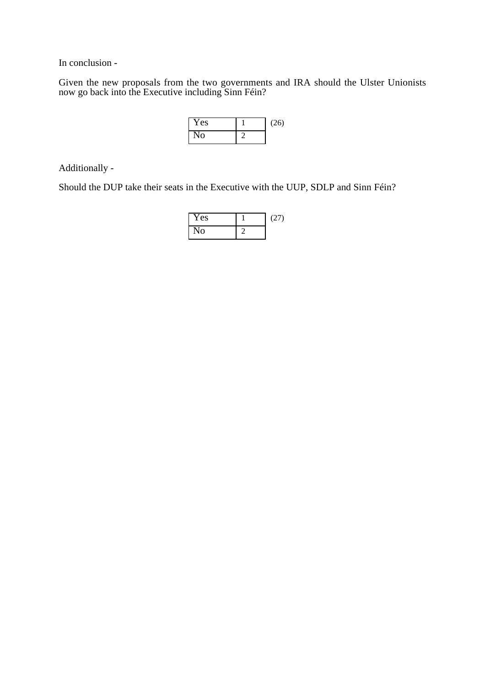In conclusion -

Given the new proposals from the two governments and IRA should the Ulster Unionists now go back into the Executive including Sinn Féin?

| Yes | (26) |
|-----|------|
| No  |      |

Additionally -

Should the DUP take their seats in the Executive with the UUP, SDLP and Sinn Féin?

| Yes | (27) |
|-----|------|
| N٥  |      |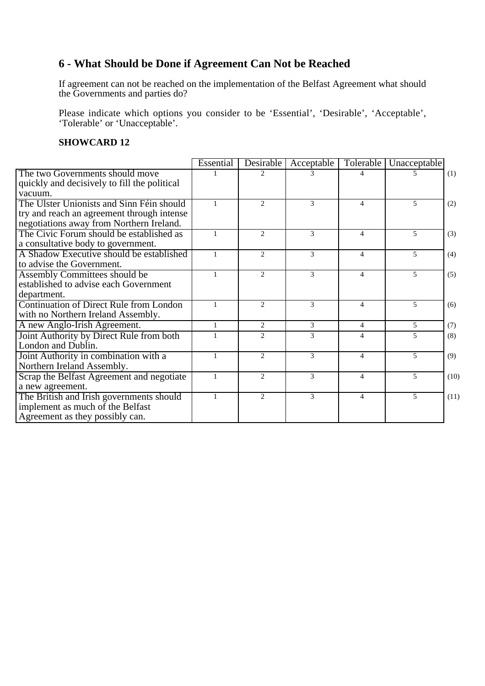# **6 - What Should be Done if Agreement Can Not be Reached**

If agreement can not be reached on the implementation of the Belfast Agreement what should the Governments and parties do?

Please indicate which options you consider to be 'Essential', 'Desirable', 'Acceptable', 'Tolerable' or 'Unacceptable'.

|                                              | Essential    | Desirable                   | Acceptable | Tolerable                | Unacceptable   |      |
|----------------------------------------------|--------------|-----------------------------|------------|--------------------------|----------------|------|
| The two Governments should move              |              | $\mathcal{D}_{\mathcal{L}}$ | 3          | 4                        | 5              | (1)  |
| quickly and decisively to fill the political |              |                             |            |                          |                |      |
| vacuum.                                      |              |                             |            |                          |                |      |
| The Ulster Unionists and Sinn Féin should    | $\mathbf{1}$ | 2                           | 3          | $\overline{4}$           | $\overline{5}$ | (2)  |
| try and reach an agreement through intense   |              |                             |            |                          |                |      |
| negotiations away from Northern Ireland.     |              |                             |            |                          |                |      |
| The Civic Forum should be established as     | $\mathbf{1}$ | 2                           | 3          | $\overline{4}$           | 5              | (3)  |
| a consultative body to government.           |              |                             |            |                          |                |      |
| A Shadow Executive should be established     | $\mathbf{1}$ | $\mathcal{D}_{\mathcal{L}}$ | 3          | $\overline{4}$           | 5              | (4)  |
| to advise the Government.                    |              |                             |            |                          |                |      |
| Assembly Committees should be                | $\mathbf{1}$ | $\mathcal{D}_{\alpha}$      | 3          | $\overline{\mathcal{A}}$ | 5              | (5)  |
| established to advise each Government        |              |                             |            |                          |                |      |
| department.                                  |              |                             |            |                          |                |      |
| Continuation of Direct Rule from London      |              | $\mathcal{D}_{\mathcal{L}}$ | 3          | $\overline{4}$           | 5              | (6)  |
| with no Northern Ireland Assembly.           |              |                             |            |                          |                |      |
| A new Anglo-Irish Agreement.                 | $\mathbf{1}$ | 2                           | 3          | $\overline{4}$           | 5              | (7)  |
| Joint Authority by Direct Rule from both     | $\mathbf{1}$ | $\overline{2}$              | 3          | 4                        | 5              | (8)  |
| London and Dublin.                           |              |                             |            |                          |                |      |
| Joint Authority in combination with a        | $\mathbf{1}$ | 2                           | 3          | $\overline{4}$           | 5              | (9)  |
| Northern Ireland Assembly.                   |              |                             |            |                          |                |      |
| Scrap the Belfast Agreement and negotiate    | $\mathbf{1}$ | $\mathcal{D}_{\mathcal{L}}$ | 3          | $\overline{4}$           | 5              | (10) |
| a new agreement.                             |              |                             |            |                          |                |      |
| The British and Irish governments should     | $\mathbf{1}$ | $\mathcal{D}_{\alpha}$      | 3          | $\overline{\mathcal{A}}$ | 5              | (11) |
| implement as much of the Belfast             |              |                             |            |                          |                |      |
| Agreement as they possibly can.              |              |                             |            |                          |                |      |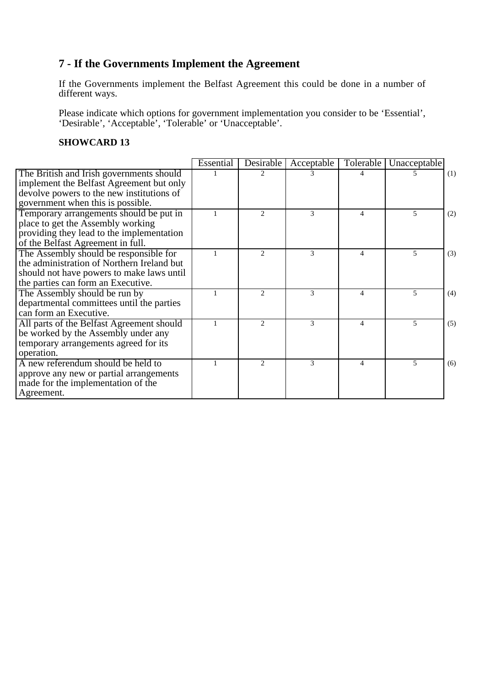# **7 - If the Governments Implement the Agreement**

If the Governments implement the Belfast Agreement this could be done in a number of different ways.

Please indicate which options for government implementation you consider to be 'Essential', 'Desirable', 'Acceptable', 'Tolerable' or 'Unacceptable'.

|                                            | Essential | Desirable                   | Acceptable | Tolerable      | Unacceptable |     |
|--------------------------------------------|-----------|-----------------------------|------------|----------------|--------------|-----|
| The British and Irish governments should   |           |                             |            |                |              | (1) |
| implement the Belfast Agreement but only   |           |                             |            |                |              |     |
| devolve powers to the new institutions of  |           |                             |            |                |              |     |
| government when this is possible.          |           |                             |            |                |              |     |
| Temporary arrangements should be put in    |           | $\mathfrak{D}$              | 3          | 4              | 5            | (2) |
| place to get the Assembly working          |           |                             |            |                |              |     |
| providing they lead to the implementation  |           |                             |            |                |              |     |
| of the Belfast Agreement in full.          |           |                             |            |                |              |     |
| The Assembly should be responsible for     |           | $\mathfrak{D}$              | 3          | $\overline{4}$ | 5            | (3) |
| the administration of Northern Ireland but |           |                             |            |                |              |     |
| should not have powers to make laws until  |           |                             |            |                |              |     |
| the parties can form an Executive.         |           |                             |            |                |              |     |
| The Assembly should be run by              |           | $\mathfrak{D}$              | 3          | $\overline{4}$ | 5            | (4) |
| departmental committees until the parties  |           |                             |            |                |              |     |
| can form an Executive.                     |           |                             |            |                |              |     |
| All parts of the Belfast Agreement should  |           | $\mathcal{D}_{\mathcal{L}}$ | 3          | 4              | 5            | (5) |
| be worked by the Assembly under any        |           |                             |            |                |              |     |
| temporary arrangements agreed for its      |           |                             |            |                |              |     |
| operation.                                 |           |                             |            |                |              |     |
| A new referendum should be held to         |           | $\mathfrak{D}$              | 3          | 4              | 5            | (6) |
| approve any new or partial arrangements    |           |                             |            |                |              |     |
| made for the implementation of the         |           |                             |            |                |              |     |
| Agreement.                                 |           |                             |            |                |              |     |